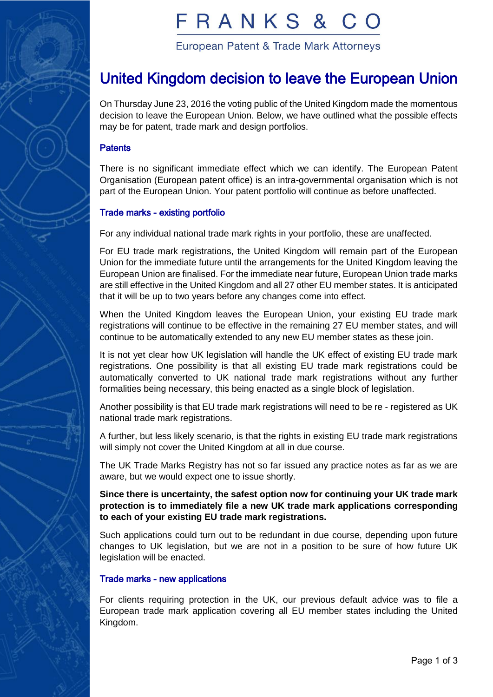

# FRANKS &

European Patent & Trade Mark Attorneys

## United Kingdom decision to leave the European Union

On Thursday June 23, 2016 the voting public of the United Kingdom made the momentous decision to leave the European Union. Below, we have outlined what the possible effects may be for patent, trade mark and design portfolios.

#### **Patents**

There is no significant immediate effect which we can identify. The European Patent Organisation (European patent office) is an intra-governmental organisation which is not part of the European Union. Your patent portfolio will continue as before unaffected.

#### Trade marks - existing portfolio

For any individual national trade mark rights in your portfolio, these are unaffected.

For EU trade mark registrations, the United Kingdom will remain part of the European Union for the immediate future until the arrangements for the United Kingdom leaving the European Union are finalised. For the immediate near future, European Union trade marks are still effective in the United Kingdom and all 27 other EU member states. It is anticipated that it will be up to two years before any changes come into effect.

When the United Kingdom leaves the European Union, your existing EU trade mark registrations will continue to be effective in the remaining 27 EU member states, and will continue to be automatically extended to any new EU member states as these join.

It is not yet clear how UK legislation will handle the UK effect of existing EU trade mark registrations. One possibility is that all existing EU trade mark registrations could be automatically converted to UK national trade mark registrations without any further formalities being necessary, this being enacted as a single block of legislation.

Another possibility is that EU trade mark registrations will need to be re - registered as UK national trade mark registrations.

A further, but less likely scenario, is that the rights in existing EU trade mark registrations will simply not cover the United Kingdom at all in due course.

The UK Trade Marks Registry has not so far issued any practice notes as far as we are aware, but we would expect one to issue shortly.

**Since there is uncertainty, the safest option now for continuing your UK trade mark protection is to immediately file a new UK trade mark applications corresponding to each of your existing EU trade mark registrations.** 

Such applications could turn out to be redundant in due course, depending upon future changes to UK legislation, but we are not in a position to be sure of how future UK legislation will be enacted.

#### Trade marks - new applications

For clients requiring protection in the UK, our previous default advice was to file a European trade mark application covering all EU member states including the United Kingdom.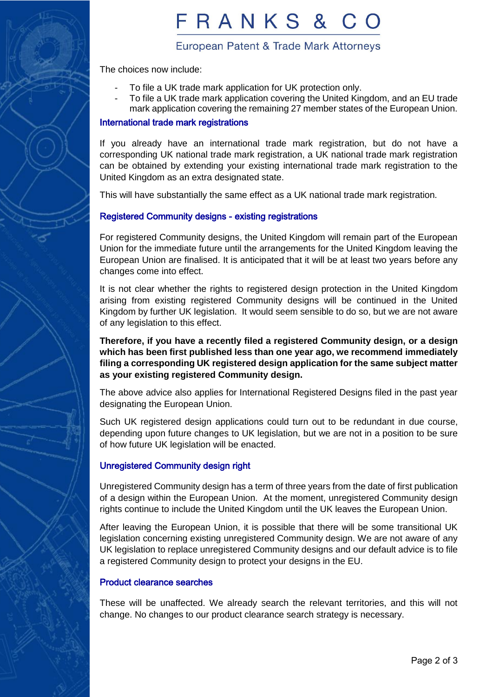

# FRANKS &

### European Patent & Trade Mark Attorneys

The choices now include:

- To file a UK trade mark application for UK protection only.
- To file a UK trade mark application covering the United Kingdom, and an EU trade mark application covering the remaining 27 member states of the European Union.

#### International trade mark registrations

If you already have an international trade mark registration, but do not have a corresponding UK national trade mark registration, a UK national trade mark registration can be obtained by extending your existing international trade mark registration to the United Kingdom as an extra designated state.

This will have substantially the same effect as a UK national trade mark registration.

### Registered Community designs - existing registrations

For registered Community designs, the United Kingdom will remain part of the European Union for the immediate future until the arrangements for the United Kingdom leaving the European Union are finalised. It is anticipated that it will be at least two years before any changes come into effect.

It is not clear whether the rights to registered design protection in the United Kingdom arising from existing registered Community designs will be continued in the United Kingdom by further UK legislation. It would seem sensible to do so, but we are not aware of any legislation to this effect.

**Therefore, if you have a recently filed a registered Community design, or a design which has been first published less than one year ago, we recommend immediately filing a corresponding UK registered design application for the same subject matter as your existing registered Community design.**

The above advice also applies for International Registered Designs filed in the past year designating the European Union.

Such UK registered design applications could turn out to be redundant in due course, depending upon future changes to UK legislation, but we are not in a position to be sure of how future UK legislation will be enacted.

#### Unregistered Community design right

Unregistered Community design has a term of three years from the date of first publication of a design within the European Union. At the moment, unregistered Community design rights continue to include the United Kingdom until the UK leaves the European Union.

After leaving the European Union, it is possible that there will be some transitional UK legislation concerning existing unregistered Community design. We are not aware of any UK legislation to replace unregistered Community designs and our default advice is to file a registered Community design to protect your designs in the EU.

#### Product clearance searches

These will be unaffected. We already search the relevant territories, and this will not change. No changes to our product clearance search strategy is necessary.